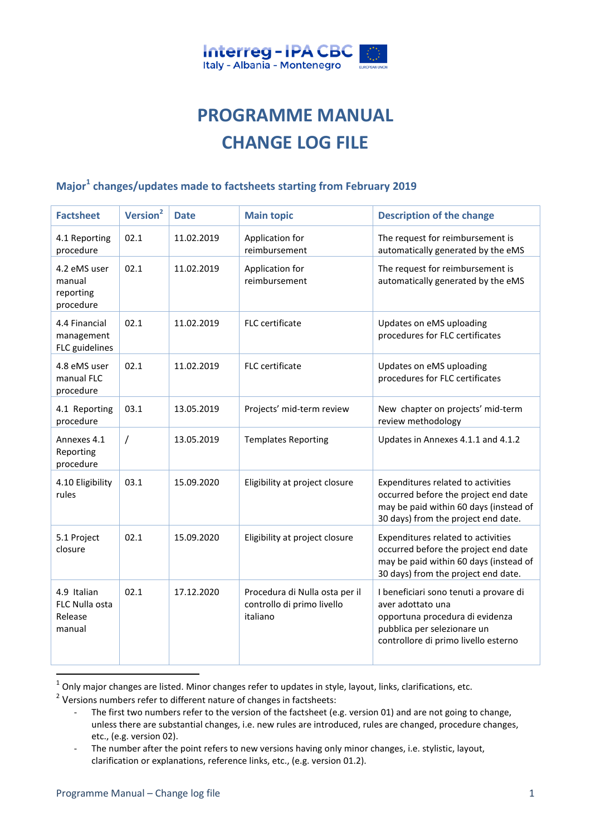

## **PROGRAMME MANUAL CHANGE LOG FILE**

## **Major<sup>1</sup> changes/updates made to factsheets starting from February 2019**

| <b>Factsheet</b>                                   | Version <sup>2</sup> | <b>Date</b> | <b>Main topic</b>                                                        | <b>Description of the change</b>                                                                                                                                      |
|----------------------------------------------------|----------------------|-------------|--------------------------------------------------------------------------|-----------------------------------------------------------------------------------------------------------------------------------------------------------------------|
| 4.1 Reporting<br>procedure                         | 02.1                 | 11.02.2019  | Application for<br>reimbursement                                         | The request for reimbursement is<br>automatically generated by the eMS                                                                                                |
| 4.2 eMS user<br>manual<br>reporting<br>procedure   | 02.1                 | 11.02.2019  | Application for<br>reimbursement                                         | The request for reimbursement is<br>automatically generated by the eMS                                                                                                |
| 4.4 Financial<br>management<br>FLC guidelines      | 02.1                 | 11.02.2019  | FLC certificate                                                          | Updates on eMS uploading<br>procedures for FLC certificates                                                                                                           |
| 4.8 eMS user<br>manual FLC<br>procedure            | 02.1                 | 11.02.2019  | FLC certificate                                                          | Updates on eMS uploading<br>procedures for FLC certificates                                                                                                           |
| 4.1 Reporting<br>procedure                         | 03.1                 | 13.05.2019  | Projects' mid-term review                                                | New chapter on projects' mid-term<br>review methodology                                                                                                               |
| Annexes 4.1<br>Reporting<br>procedure              | $\overline{1}$       | 13.05.2019  | <b>Templates Reporting</b>                                               | Updates in Annexes 4.1.1 and 4.1.2                                                                                                                                    |
| 4.10 Eligibility<br>rules                          | 03.1                 | 15.09.2020  | Eligibility at project closure                                           | Expenditures related to activities<br>occurred before the project end date<br>may be paid within 60 days (instead of<br>30 days) from the project end date.           |
| 5.1 Project<br>closure                             | 02.1                 | 15.09.2020  | Eligibility at project closure                                           | Expenditures related to activities<br>occurred before the project end date<br>may be paid within 60 days (instead of<br>30 days) from the project end date.           |
| 4.9 Italian<br>FLC Nulla osta<br>Release<br>manual | 02.1                 | 17.12.2020  | Procedura di Nulla osta per il<br>controllo di primo livello<br>italiano | I beneficiari sono tenuti a provare di<br>aver adottato una<br>opportuna procedura di evidenza<br>pubblica per selezionare un<br>controllore di primo livello esterno |

 $<sup>1</sup>$  Only major changes are listed. Minor changes refer to updates in style, layout, links, clarifications, etc.</sup>

- The first two numbers refer to the version of the factsheet (e.g. version 01) and are not going to change, unless there are substantial changes, i.e. new rules are introduced, rules are changed, procedure changes, etc., (e.g. version 02).
- The number after the point refers to new versions having only minor changes, i.e. stylistic, layout, clarification or explanations, reference links, etc., (e.g. version 01.2).

**.** 

 $2$  Versions numbers refer to different nature of changes in factsheets: